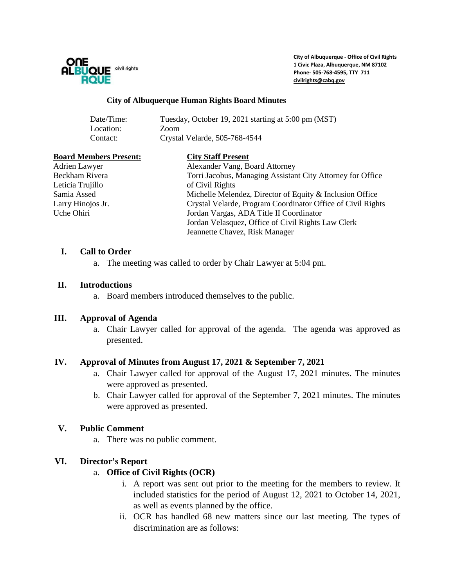

**City of Albuquerque - Office of Civil Rights 1 Civic Plaza, Albuquerque, NM 87102 Phone- 505-768-4595, TTY 711 [civilrights@cabq.gov](mailto:civilrights@cabq.gov)**

#### **City of Albuquerque Human Rights Board Minutes**

| Date/Time: | Tuesday, October 19, 2021 starting at 5:00 pm (MST) |
|------------|-----------------------------------------------------|
| Location:  | Zoom                                                |
| Contact:   | Crystal Velarde, 505-768-4544                       |

#### **Board Members Present: City Staff Present**

Leticia Trujillo **Civil Rights** of Civil Rights

Adrien Lawyer Alexander Vang, Board Attorney Beckham Rivera Torri Jacobus, Managing Assistant City Attorney for Office Samia Assed Michelle Melendez, Director of Equity & Inclusion Office Larry Hinojos Jr. Crystal Velarde, Program Coordinator Office of Civil Rights Jordan Vargas, ADA Title II Coordinator Jordan Velasquez, Office of Civil Rights Law Clerk Jeannette Chavez, Risk Manager

### **I. Call to Order**

a. The meeting was called to order by Chair Lawyer at 5:04 pm.

### **II. Introductions**

a. Board members introduced themselves to the public.

## **III. Approval of Agenda**

a. Chair Lawyer called for approval of the agenda. The agenda was approved as presented.

### **IV. Approval of Minutes from August 17, 2021 & September 7, 2021**

- a. Chair Lawyer called for approval of the August 17, 2021 minutes. The minutes were approved as presented.
- b. Chair Lawyer called for approval of the September 7, 2021 minutes. The minutes were approved as presented.

## **V. Public Comment**

a. There was no public comment.

### **VI. Director's Report**

### a. **Office of Civil Rights (OCR)**

- i. A report was sent out prior to the meeting for the members to review. It included statistics for the period of August 12, 2021 to October 14, 2021, as well as events planned by the office.
- ii. OCR has handled 68 new matters since our last meeting. The types of discrimination are as follows: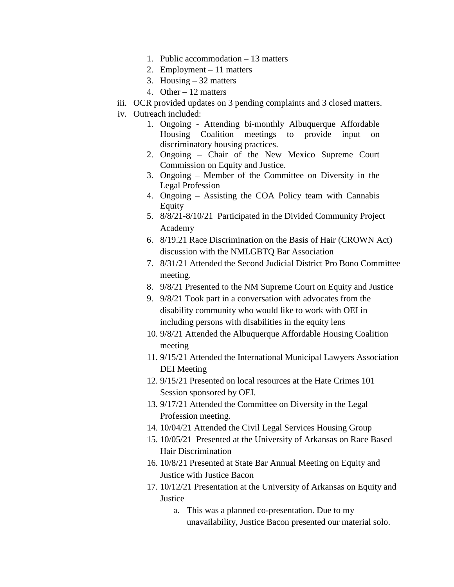- 1. Public accommodation 13 matters
- 2. Employment 11 matters
- 3. Housing 32 matters
- 4. Other 12 matters
- iii. OCR provided updates on 3 pending complaints and 3 closed matters.
- iv. Outreach included:
	- 1. Ongoing Attending bi-monthly Albuquerque Affordable Housing Coalition meetings to provide input on discriminatory housing practices.
	- 2. Ongoing Chair of the New Mexico Supreme Court Commission on Equity and Justice.
	- 3. Ongoing Member of the Committee on Diversity in the Legal Profession
	- 4. Ongoing Assisting the COA Policy team with Cannabis Equity
	- 5. 8/8/21-8/10/21 Participated in the Divided Community Project Academy
	- 6. 8/19.21 Race Discrimination on the Basis of Hair (CROWN Act) discussion with the NMLGBTQ Bar Association
	- 7. 8/31/21 Attended the Second Judicial District Pro Bono Committee meeting.
	- 8. 9/8/21 Presented to the NM Supreme Court on Equity and Justice
	- 9. 9/8/21 Took part in a conversation with advocates from the disability community who would like to work with OEI in including persons with disabilities in the equity lens
	- 10. 9/8/21 Attended the Albuquerque Affordable Housing Coalition meeting
	- 11. 9/15/21 Attended the International Municipal Lawyers Association DEI Meeting
	- 12. 9/15/21 Presented on local resources at the Hate Crimes 101 Session sponsored by OEI.
	- 13. 9/17/21 Attended the Committee on Diversity in the Legal Profession meeting.
	- 14. 10/04/21 Attended the Civil Legal Services Housing Group
	- 15. 10/05/21 Presented at the University of Arkansas on Race Based Hair Discrimination
	- 16. 10/8/21 Presented at State Bar Annual Meeting on Equity and Justice with Justice Bacon
	- 17. 10/12/21 Presentation at the University of Arkansas on Equity and **Justice** 
		- a. This was a planned co-presentation. Due to my unavailability, Justice Bacon presented our material solo.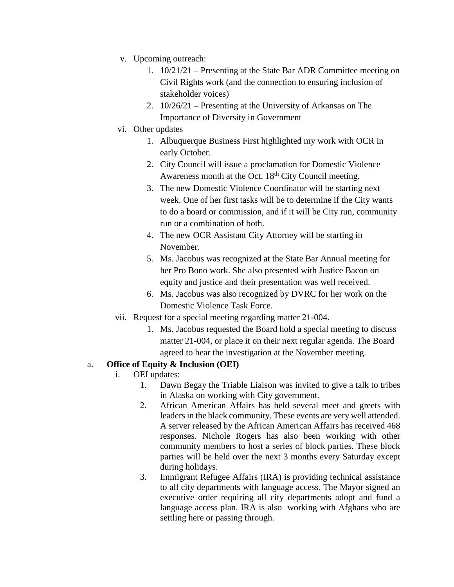- v. Upcoming outreach:
	- 1. 10/21/21 Presenting at the State Bar ADR Committee meeting on Civil Rights work (and the connection to ensuring inclusion of stakeholder voices)
	- 2. 10/26/21 Presenting at the University of Arkansas on The Importance of Diversity in Government
- vi. Other updates
	- 1. Albuquerque Business First highlighted my work with OCR in early October.
	- 2. City Council will issue a proclamation for Domestic Violence Awareness month at the Oct.  $18<sup>th</sup>$  City Council meeting.
	- 3. The new Domestic Violence Coordinator will be starting next week. One of her first tasks will be to determine if the City wants to do a board or commission, and if it will be City run, community run or a combination of both.
	- 4. The new OCR Assistant City Attorney will be starting in November.
	- 5. Ms. Jacobus was recognized at the State Bar Annual meeting for her Pro Bono work. She also presented with Justice Bacon on equity and justice and their presentation was well received.
	- 6. Ms. Jacobus was also recognized by DVRC for her work on the Domestic Violence Task Force.
- vii. Request for a special meeting regarding matter 21-004.
	- 1. Ms. Jacobus requested the Board hold a special meeting to discuss matter 21-004, or place it on their next regular agenda. The Board agreed to hear the investigation at the November meeting.

# a. **Office of Equity & Inclusion (OEI)**

- i. OEI updates:
	- 1. Dawn Begay the Triable Liaison was invited to give a talk to tribes in Alaska on working with City government.
	- 2. African American Affairs has held several meet and greets with leaders in the black community. These events are very well attended. A server released by the African American Affairs has received 468 responses. Nichole Rogers has also been working with other community members to host a series of block parties. These block parties will be held over the next 3 months every Saturday except during holidays.
	- 3. Immigrant Refugee Affairs (IRA) is providing technical assistance to all city departments with language access. The Mayor signed an executive order requiring all city departments adopt and fund a language access plan. IRA is also working with Afghans who are settling here or passing through.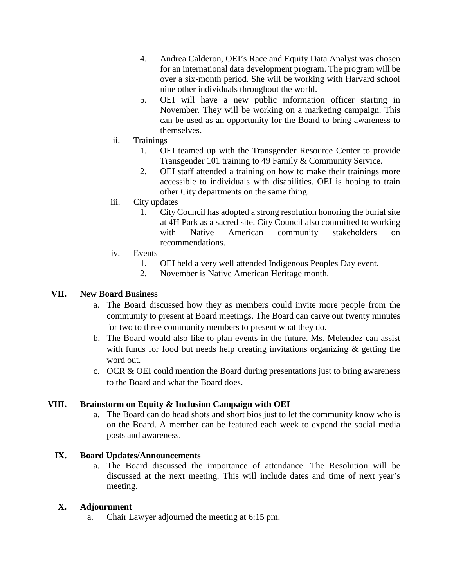- 4. Andrea Calderon, OEI's Race and Equity Data Analyst was chosen for an international data development program. The program will be over a six-month period. She will be working with Harvard school nine other individuals throughout the world.
- 5. OEI will have a new public information officer starting in November. They will be working on a marketing campaign. This can be used as an opportunity for the Board to bring awareness to themselves.
- ii. Trainings
	- 1. OEI teamed up with the Transgender Resource Center to provide Transgender 101 training to 49 Family & Community Service.
	- 2. OEI staff attended a training on how to make their trainings more accessible to individuals with disabilities. OEI is hoping to train other City departments on the same thing.
- iii. City updates
	- 1. City Council has adopted a strong resolution honoring the burial site at 4H Park as a sacred site. City Council also committed to working with Native American community stakeholders on recommendations.
- iv. Events
	- 1. OEI held a very well attended Indigenous Peoples Day event.
	- 2. November is Native American Heritage month.

## **VII. New Board Business**

- a. The Board discussed how they as members could invite more people from the community to present at Board meetings. The Board can carve out twenty minutes for two to three community members to present what they do.
- b. The Board would also like to plan events in the future. Ms. Melendez can assist with funds for food but needs help creating invitations organizing  $\&$  getting the word out.
- c. OCR & OEI could mention the Board during presentations just to bring awareness to the Board and what the Board does.

## **VIII. Brainstorm on Equity & Inclusion Campaign with OEI**

a. The Board can do head shots and short bios just to let the community know who is on the Board. A member can be featured each week to expend the social media posts and awareness.

## **IX. Board Updates/Announcements**

a. The Board discussed the importance of attendance. The Resolution will be discussed at the next meeting. This will include dates and time of next year's meeting.

## **X. Adjournment**

a. Chair Lawyer adjourned the meeting at 6:15 pm.